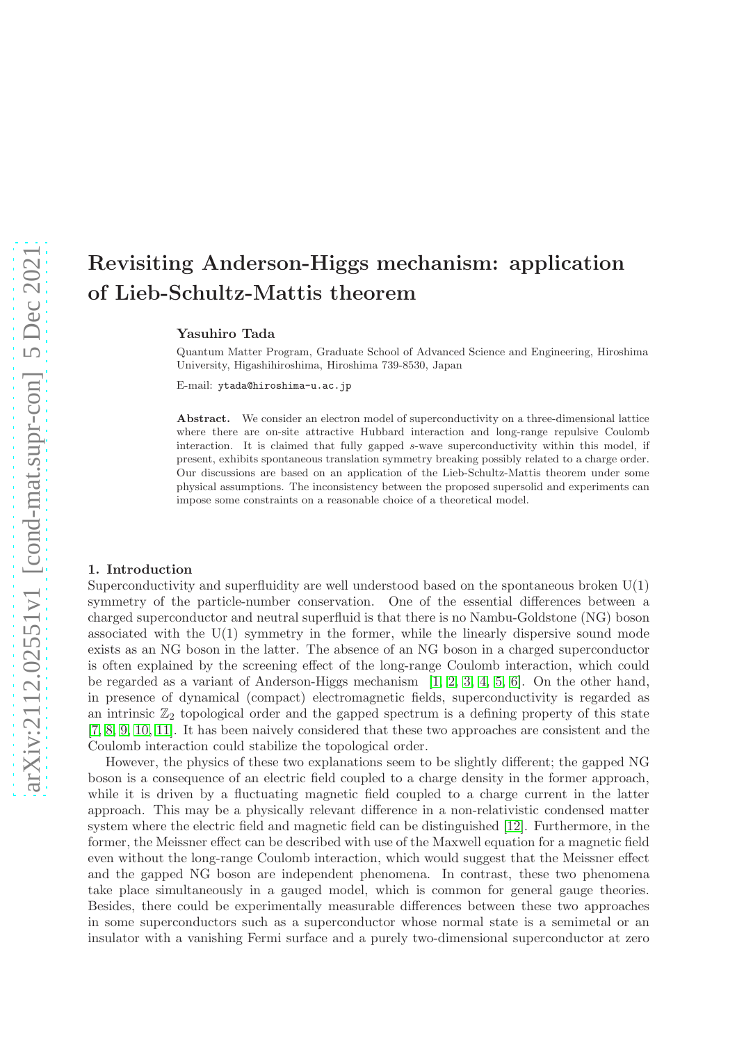# Revisiting Anderson-Higgs mechanism: application of Lieb-Schultz-Mattis theorem

Yasuhiro Tada

Quantum Matter Program, Graduate School of Advanced Science and Engineering, Hiroshima University, Higashihiroshima, Hiroshima 739-8530, Japan

E-mail: ytada@hiroshima-u.ac.jp

Abstract. We consider an electron model of superconductivity on a three-dimensional lattice where there are on-site attractive Hubbard interaction and long-range repulsive Coulomb interaction. It is claimed that fully gapped s-wave superconductivity within this model, if present, exhibits spontaneous translation symmetry breaking possibly related to a charge order. Our discussions are based on an application of the Lieb-Schultz-Mattis theorem under some physical assumptions. The inconsistency between the proposed supersolid and experiments can impose some constraints on a reasonable choice of a theoretical model.

### 1. Introduction

Superconductivity and superfluidity are well understood based on the spontaneous broken  $U(1)$ symmetry of the particle-number conservation. One of the essential differences between a charged superconductor and neutral superfluid is that there is no Nambu-Goldstone (NG) boson associated with the U(1) symmetry in the former, while the linearly dispersive sound mode exists as an NG boson in the latter. The absence of an NG boson in a charged superconductor is often explained by the screening effect of the long-range Coulomb interaction, which could be regarded as a variant of Anderson-Higgs mechanism [\[1,](#page-4-0) [2,](#page-4-1) [3,](#page-4-2) [4,](#page-4-3) [5,](#page-4-4) [6\]](#page-4-5). On the other hand, in presence of dynamical (compact) electromagnetic fields, superconductivity is regarded as an intrinsic  $\mathbb{Z}_2$  topological order and the gapped spectrum is a defining property of this state [\[7,](#page-4-6) [8,](#page-4-7) [9,](#page-5-0) [10,](#page-5-1) [11\]](#page-5-2). It has been naively considered that these two approaches are consistent and the Coulomb interaction could stabilize the topological order.

However, the physics of these two explanations seem to be slightly different; the gapped NG boson is a consequence of an electric field coupled to a charge density in the former approach, while it is driven by a fluctuating magnetic field coupled to a charge current in the latter approach. This may be a physically relevant difference in a non-relativistic condensed matter system where the electric field and magnetic field can be distinguished [\[12\]](#page-5-3). Furthermore, in the former, the Meissner effect can be described with use of the Maxwell equation for a magnetic field even without the long-range Coulomb interaction, which would suggest that the Meissner effect and the gapped NG boson are independent phenomena. In contrast, these two phenomena take place simultaneously in a gauged model, which is common for general gauge theories. Besides, there could be experimentally measurable differences between these two approaches in some superconductors such as a superconductor whose normal state is a semimetal or an insulator with a vanishing Fermi surface and a purely two-dimensional superconductor at zero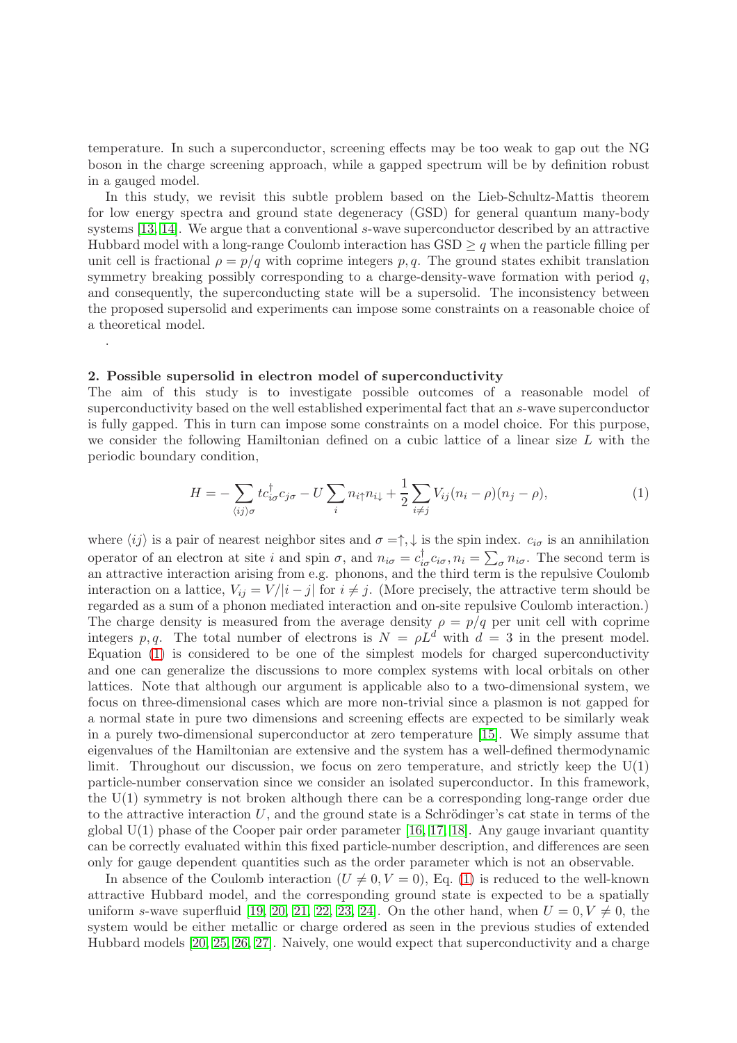temperature. In such a superconductor, screening effects may be too weak to gap out the NG boson in the charge screening approach, while a gapped spectrum will be by definition robust in a gauged model.

In this study, we revisit this subtle problem based on the Lieb-Schultz-Mattis theorem for low energy spectra and ground state degeneracy (GSD) for general quantum many-body systems [\[13,](#page-5-4) [14\]](#page-5-5). We argue that a conventional s-wave superconductor described by an attractive Hubbard model with a long-range Coulomb interaction has  $\text{GSD} \geq q$  when the particle filling per unit cell is fractional  $\rho = p/q$  with coprime integers p, q. The ground states exhibit translation symmetry breaking possibly corresponding to a charge-density-wave formation with period  $q$ , and consequently, the superconducting state will be a supersolid. The inconsistency between the proposed supersolid and experiments can impose some constraints on a reasonable choice of a theoretical model.

## 2. Possible supersolid in electron model of superconductivity

.

The aim of this study is to investigate possible outcomes of a reasonable model of superconductivity based on the well established experimental fact that an s-wave superconductor is fully gapped. This in turn can impose some constraints on a model choice. For this purpose, we consider the following Hamiltonian defined on a cubic lattice of a linear size L with the periodic boundary condition,

<span id="page-1-0"></span>
$$
H = -\sum_{\langle ij \rangle \sigma} t c_{i\sigma}^{\dagger} c_{j\sigma} - U \sum_{i} n_{i\uparrow} n_{i\downarrow} + \frac{1}{2} \sum_{i \neq j} V_{ij} (n_i - \rho) (n_j - \rho), \tag{1}
$$

where  $\langle ij \rangle$  is a pair of nearest neighbor sites and  $\sigma = \uparrow, \downarrow$  is the spin index.  $c_{i\sigma}$  is an annihilation operator of an electron at site i and spin  $\sigma$ , and  $n_{i\sigma} = c_{i\sigma}^{\dagger} c_{i\sigma}$ ,  $n_i = \sum_{\sigma} n_{i\sigma}$ . The second term is an attractive interaction arising from e.g. phonons, and the third term is the repulsive Coulomb interaction on a lattice,  $V_{ij} = V/|i-j|$  for  $i \neq j$ . (More precisely, the attractive term should be regarded as a sum of a phonon mediated interaction and on-site repulsive Coulomb interaction.) The charge density is measured from the average density  $\rho = p/q$  per unit cell with coprime integers p, q. The total number of electrons is  $N = \rho L^d$  with  $d = 3$  in the present model. Equation [\(1\)](#page-1-0) is considered to be one of the simplest models for charged superconductivity and one can generalize the discussions to more complex systems with local orbitals on other lattices. Note that although our argument is applicable also to a two-dimensional system, we focus on three-dimensional cases which are more non-trivial since a plasmon is not gapped for a normal state in pure two dimensions and screening effects are expected to be similarly weak in a purely two-dimensional superconductor at zero temperature [\[15\]](#page-5-6). We simply assume that eigenvalues of the Hamiltonian are extensive and the system has a well-defined thermodynamic limit. Throughout our discussion, we focus on zero temperature, and strictly keep the  $U(1)$ particle-number conservation since we consider an isolated superconductor. In this framework, the U(1) symmetry is not broken although there can be a corresponding long-range order due to the attractive interaction  $U$ , and the ground state is a Schrödinger's cat state in terms of the global  $U(1)$  phase of the Cooper pair order parameter [\[16,](#page-5-7) [17,](#page-5-8) [18\]](#page-5-9). Any gauge invariant quantity can be correctly evaluated within this fixed particle-number description, and differences are seen only for gauge dependent quantities such as the order parameter which is not an observable.

In absence of the Coulomb interaction  $(U \neq 0, V = 0)$ , Eq. [\(1\)](#page-1-0) is reduced to the well-known attractive Hubbard model, and the corresponding ground state is expected to be a spatially uniform s-wave superfluid [\[19,](#page-5-10) [20,](#page-5-11) [21,](#page-5-12) [22,](#page-5-13) [23,](#page-5-14) [24\]](#page-5-15). On the other hand, when  $U = 0, V \neq 0$ , the system would be either metallic or charge ordered as seen in the previous studies of extended Hubbard models [\[20,](#page-5-11) [25,](#page-5-16) [26,](#page-5-17) [27\]](#page-5-18). Naively, one would expect that superconductivity and a charge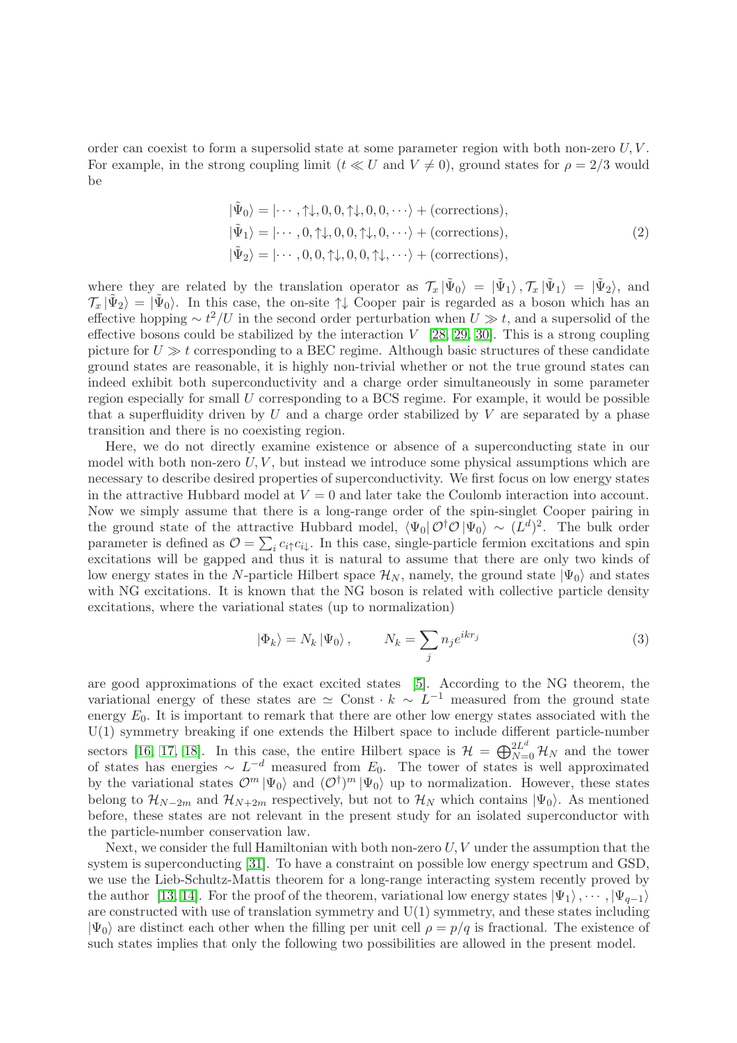order can coexist to form a supersolid state at some parameter region with both non-zero  $U, V$ . For example, in the strong coupling limit  $(t \ll U \text{ and } V \neq 0)$ , ground states for  $\rho = 2/3$  would be

<span id="page-2-0"></span>
$$
|\tilde{\Psi}_0\rangle = |\cdots, \uparrow\downarrow, 0, 0, \uparrow\downarrow, 0, 0, \cdots\rangle + \text{(corrections)},
$$
  

$$
|\tilde{\Psi}_1\rangle = |\cdots, 0, \uparrow\downarrow, 0, 0, \uparrow\downarrow, 0, \cdots\rangle + \text{(corrections)},
$$
  

$$
|\tilde{\Psi}_2\rangle = |\cdots, 0, 0, \uparrow\downarrow, 0, 0, \uparrow\downarrow, \cdots\rangle + \text{(corrections)},
$$
  
(2)

where they are related by the translation operator as  $\mathcal{T}_x | \tilde{\Psi}_0 \rangle = | \tilde{\Psi}_1 \rangle$ ,  $\mathcal{T}_x | \tilde{\Psi}_1 \rangle = | \tilde{\Psi}_2 \rangle$ , and  $\mathcal{T}_x|\tilde{\Psi}_2\rangle = |\tilde{\Psi}_0\rangle$ . In this case, the on-site  $\uparrow \downarrow$  Cooper pair is regarded as a boson which has an effective hopping  $\sim t^2/U$  in the second order perturbation when  $U \gg t$ , and a supersolid of the effective bosons could be stabilized by the interaction  $V$  [\[28,](#page-5-19) [29,](#page-5-20) [30\]](#page-5-21). This is a strong coupling picture for  $U \gg t$  corresponding to a BEC regime. Although basic structures of these candidate ground states are reasonable, it is highly non-trivial whether or not the true ground states can indeed exhibit both superconductivity and a charge order simultaneously in some parameter region especially for small  $U$  corresponding to a BCS regime. For example, it would be possible that a superfluidity driven by  $U$  and a charge order stabilized by  $V$  are separated by a phase transition and there is no coexisting region.

Here, we do not directly examine existence or absence of a superconducting state in our model with both non-zero  $U, V$ , but instead we introduce some physical assumptions which are necessary to describe desired properties of superconductivity. We first focus on low energy states in the attractive Hubbard model at  $V = 0$  and later take the Coulomb interaction into account. Now we simply assume that there is a long-range order of the spin-singlet Cooper pairing in the ground state of the attractive Hubbard model,  $\langle \Psi_0 | \mathcal{O}^{\dagger} \mathcal{O} | \Psi_0 \rangle \sim (L^d)^2$ . The bulk order parameter is defined as  $\mathcal{O} = \sum_i c_i \cdot c_i$ . In this case, single-particle fermion excitations and spin excitations will be gapped and thus it is natural to assume that there are only two kinds of low energy states in the N-particle Hilbert space  $\mathcal{H}_N$ , namely, the ground state  $|\Psi_0\rangle$  and states with NG excitations. It is known that the NG boson is related with collective particle density excitations, where the variational states (up to normalization)

$$
|\Phi_k\rangle = N_k |\Psi_0\rangle, \qquad N_k = \sum_j n_j e^{ikr_j}
$$
 (3)

are good approximations of the exact excited states [\[5\]](#page-4-4). According to the NG theorem, the variational energy of these states are  $\simeq$  Const  $\cdot k \sim L^{-1}$  measured from the ground state energy  $E_0$ . It is important to remark that there are other low energy states associated with the U(1) symmetry breaking if one extends the Hilbert space to include different particle-number sectors [\[16,](#page-5-7) [17,](#page-5-8) [18\]](#page-5-9). In this case, the entire Hilbert space is  $\mathcal{H} = \bigoplus_{N=0}^{2L^d} \mathcal{H}_N$  and the tower of states has energies  $\sim L^{-d}$  measured from  $E_0$ . The tower of states is well approximated by the variational states  $\mathcal{O}^m |\Psi_0\rangle$  and  $(\mathcal{O}^{\dagger})^m |\Psi_0\rangle$  up to normalization. However, these states belong to  $\mathcal{H}_{N-2m}$  and  $\mathcal{H}_{N+2m}$  respectively, but not to  $\mathcal{H}_N$  which contains  $|\Psi_0\rangle$ . As mentioned before, these states are not relevant in the present study for an isolated superconductor with the particle-number conservation law.

Next, we consider the full Hamiltonian with both non-zero  $U, V$  under the assumption that the system is superconducting [\[31\]](#page-5-22). To have a constraint on possible low energy spectrum and GSD, we use the Lieb-Schultz-Mattis theorem for a long-range interacting system recently proved by the author [\[13,](#page-5-4) [14\]](#page-5-5). For the proof of the theorem, variational low energy states  $|\Psi_1\rangle, \cdots, |\Psi_{q-1}\rangle$ are constructed with use of translation symmetry and  $U(1)$  symmetry, and these states including  $|\Psi_0\rangle$  are distinct each other when the filling per unit cell  $\rho = p/q$  is fractional. The existence of such states implies that only the following two possibilities are allowed in the present model.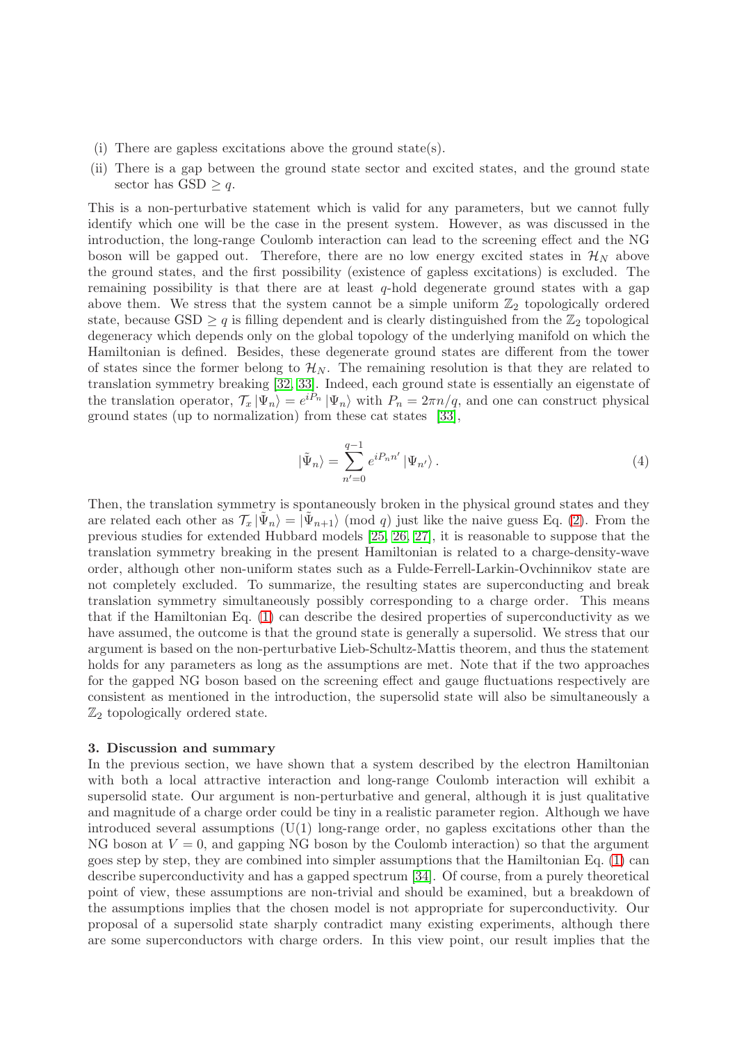- (i) There are gapless excitations above the ground state(s).
- (ii) There is a gap between the ground state sector and excited states, and the ground state sector has  $GSD > q$ .

This is a non-perturbative statement which is valid for any parameters, but we cannot fully identify which one will be the case in the present system. However, as was discussed in the introduction, the long-range Coulomb interaction can lead to the screening effect and the NG boson will be gapped out. Therefore, there are no low energy excited states in  $\mathcal{H}_N$  above the ground states, and the first possibility (existence of gapless excitations) is excluded. The remaining possibility is that there are at least  $q$ -hold degenerate ground states with a gap above them. We stress that the system cannot be a simple uniform  $\mathbb{Z}_2$  topologically ordered state, because GSD  $\geq q$  is filling dependent and is clearly distinguished from the  $\mathbb{Z}_2$  topological degeneracy which depends only on the global topology of the underlying manifold on which the Hamiltonian is defined. Besides, these degenerate ground states are different from the tower of states since the former belong to  $\mathcal{H}_N$ . The remaining resolution is that they are related to translation symmetry breaking [\[32,](#page-5-23) [33\]](#page-5-24). Indeed, each ground state is essentially an eigenstate of the translation operator,  $\mathcal{T}_x|\Psi_n\rangle = e^{i\tilde{P}_n}|\Psi_n\rangle$  with  $P_n = 2\pi n/q$ , and one can construct physical ground states (up to normalization) from these cat states [\[33\]](#page-5-24),

$$
|\tilde{\Psi}_n\rangle = \sum_{n'=0}^{q-1} e^{iP_n n'} |\Psi_{n'}\rangle.
$$
 (4)

Then, the translation symmetry is spontaneously broken in the physical ground states and they are related each other as  $\mathcal{T}_x | \tilde{\Psi}_n \rangle = |\tilde{\Psi}_{n+1}\rangle$  (mod q) just like the naive guess Eq. [\(2\)](#page-2-0). From the previous studies for extended Hubbard models [\[25,](#page-5-16) [26,](#page-5-17) [27\]](#page-5-18), it is reasonable to suppose that the translation symmetry breaking in the present Hamiltonian is related to a charge-density-wave order, although other non-uniform states such as a Fulde-Ferrell-Larkin-Ovchinnikov state are not completely excluded. To summarize, the resulting states are superconducting and break translation symmetry simultaneously possibly corresponding to a charge order. This means that if the Hamiltonian Eq. [\(1\)](#page-1-0) can describe the desired properties of superconductivity as we have assumed, the outcome is that the ground state is generally a supersolid. We stress that our argument is based on the non-perturbative Lieb-Schultz-Mattis theorem, and thus the statement holds for any parameters as long as the assumptions are met. Note that if the two approaches for the gapped NG boson based on the screening effect and gauge fluctuations respectively are consistent as mentioned in the introduction, the supersolid state will also be simultaneously a  $\mathbb{Z}_2$  topologically ordered state.

### 3. Discussion and summary

In the previous section, we have shown that a system described by the electron Hamiltonian with both a local attractive interaction and long-range Coulomb interaction will exhibit a supersolid state. Our argument is non-perturbative and general, although it is just qualitative and magnitude of a charge order could be tiny in a realistic parameter region. Although we have introduced several assumptions  $(U(1)$  long-range order, no gapless excitations other than the NG boson at  $V = 0$ , and gapping NG boson by the Coulomb interaction) so that the argument goes step by step, they are combined into simpler assumptions that the Hamiltonian Eq. [\(1\)](#page-1-0) can describe superconductivity and has a gapped spectrum [\[34\]](#page-5-25). Of course, from a purely theoretical point of view, these assumptions are non-trivial and should be examined, but a breakdown of the assumptions implies that the chosen model is not appropriate for superconductivity. Our proposal of a supersolid state sharply contradict many existing experiments, although there are some superconductors with charge orders. In this view point, our result implies that the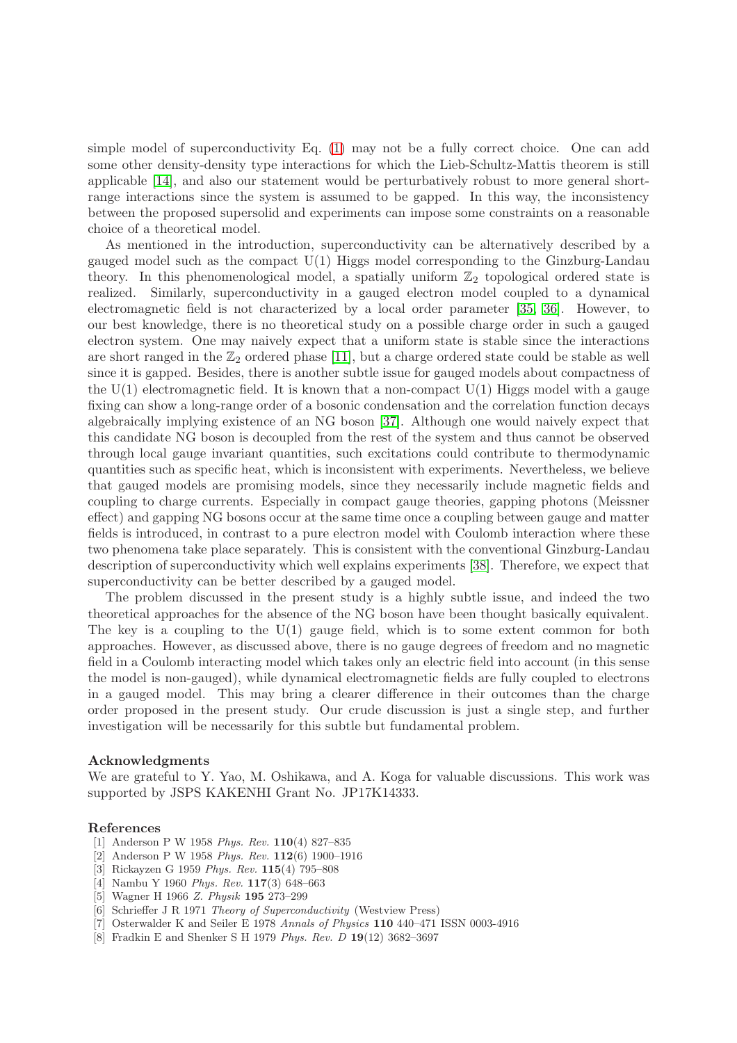simple model of superconductivity Eq. [\(1\)](#page-1-0) may not be a fully correct choice. One can add some other density-density type interactions for which the Lieb-Schultz-Mattis theorem is still applicable [\[14\]](#page-5-5), and also our statement would be perturbatively robust to more general shortrange interactions since the system is assumed to be gapped. In this way, the inconsistency between the proposed supersolid and experiments can impose some constraints on a reasonable choice of a theoretical model.

As mentioned in the introduction, superconductivity can be alternatively described by a gauged model such as the compact U(1) Higgs model corresponding to the Ginzburg-Landau theory. In this phenomenological model, a spatially uniform  $\mathbb{Z}_2$  topological ordered state is realized. Similarly, superconductivity in a gauged electron model coupled to a dynamical electromagnetic field is not characterized by a local order parameter [\[35,](#page-5-26) [36\]](#page-5-27). However, to our best knowledge, there is no theoretical study on a possible charge order in such a gauged electron system. One may naively expect that a uniform state is stable since the interactions are short ranged in the  $\mathbb{Z}_2$  ordered phase [\[11\]](#page-5-2), but a charge ordered state could be stable as well since it is gapped. Besides, there is another subtle issue for gauged models about compactness of the  $U(1)$  electromagnetic field. It is known that a non-compact  $U(1)$  Higgs model with a gauge fixing can show a long-range order of a bosonic condensation and the correlation function decays algebraically implying existence of an NG boson [\[37\]](#page-5-28). Although one would naively expect that this candidate NG boson is decoupled from the rest of the system and thus cannot be observed through local gauge invariant quantities, such excitations could contribute to thermodynamic quantities such as specific heat, which is inconsistent with experiments. Nevertheless, we believe that gauged models are promising models, since they necessarily include magnetic fields and coupling to charge currents. Especially in compact gauge theories, gapping photons (Meissner effect) and gapping NG bosons occur at the same time once a coupling between gauge and matter fields is introduced, in contrast to a pure electron model with Coulomb interaction where these two phenomena take place separately. This is consistent with the conventional Ginzburg-Landau description of superconductivity which well explains experiments [\[38\]](#page-5-29). Therefore, we expect that superconductivity can be better described by a gauged model.

The problem discussed in the present study is a highly subtle issue, and indeed the two theoretical approaches for the absence of the NG boson have been thought basically equivalent. The key is a coupling to the  $U(1)$  gauge field, which is to some extent common for both approaches. However, as discussed above, there is no gauge degrees of freedom and no magnetic field in a Coulomb interacting model which takes only an electric field into account (in this sense the model is non-gauged), while dynamical electromagnetic fields are fully coupled to electrons in a gauged model. This may bring a clearer difference in their outcomes than the charge order proposed in the present study. Our crude discussion is just a single step, and further investigation will be necessarily for this subtle but fundamental problem.

#### Acknowledgments

We are grateful to Y. Yao, M. Oshikawa, and A. Koga for valuable discussions. This work was supported by JSPS KAKENHI Grant No. JP17K14333.

#### <span id="page-4-0"></span>References

- <span id="page-4-1"></span>[1] Anderson P W 1958 *Phys. Rev.* 110(4) 827–835
- <span id="page-4-2"></span>[2] Anderson P W 1958 *Phys. Rev.* 112(6) 1900–1916
- <span id="page-4-3"></span>[3] Rickayzen G 1959 *Phys. Rev.* 115(4) 795–808
- <span id="page-4-4"></span>[4] Nambu Y 1960 *Phys. Rev.* 117(3) 648–663
- <span id="page-4-5"></span>[5] Wagner H 1966 *Z. Physik* 195 273–299
- <span id="page-4-6"></span>[6] Schrieffer J R 1971 *Theory of Superconductivity* (Westview Press)
- <span id="page-4-7"></span>[7] Osterwalder K and Seiler E 1978 *Annals of Physics* 110 440–471 ISSN 0003-4916
- [8] Fradkin E and Shenker S H 1979 *Phys. Rev. D* 19(12) 3682–3697